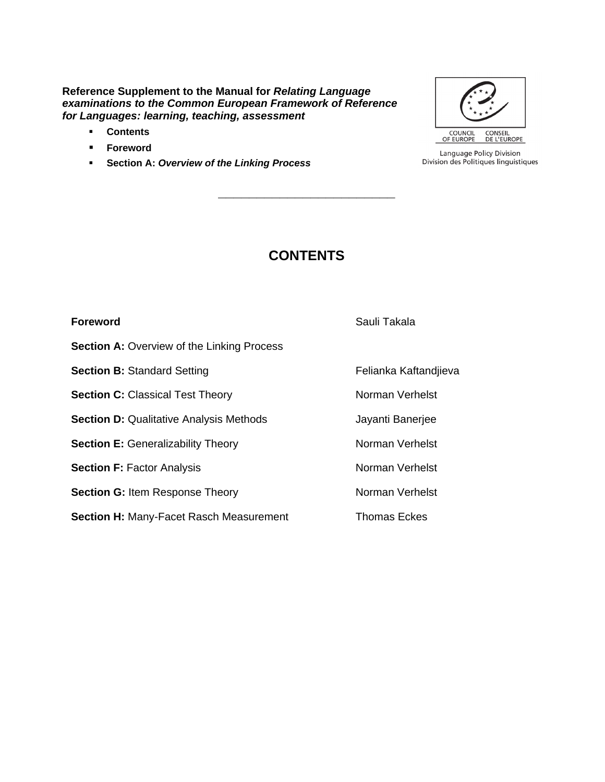#### **Reference Supplement to the Manual for** *Relating Language examinations to the Common European Framework of Reference for Languages: learning, teaching, assessment*

- **Contents**
- **Foreword**
- **Section A:** *Overview of the Linking Process*



Language Policy Division Division des Politiques linguistiques

### **CONTENTS**

**\_\_\_\_\_\_\_\_\_\_\_\_\_\_\_\_\_\_\_\_\_\_\_**

| Foreword                                          | Sauli Takala          |
|---------------------------------------------------|-----------------------|
| <b>Section A: Overview of the Linking Process</b> |                       |
| <b>Section B: Standard Setting</b>                | Felianka Kaftandjieva |
| <b>Section C:</b> Classical Test Theory           | Norman Verhelst       |
| <b>Section D: Qualitative Analysis Methods</b>    | Jayanti Banerjee      |
| <b>Section E:</b> Generalizability Theory         | Norman Verhelst       |
| <b>Section F: Factor Analysis</b>                 | Norman Verhelst       |
| <b>Section G: Item Response Theory</b>            | Norman Verhelst       |
| Section H: Many-Facet Rasch Measurement           | <b>Thomas Eckes</b>   |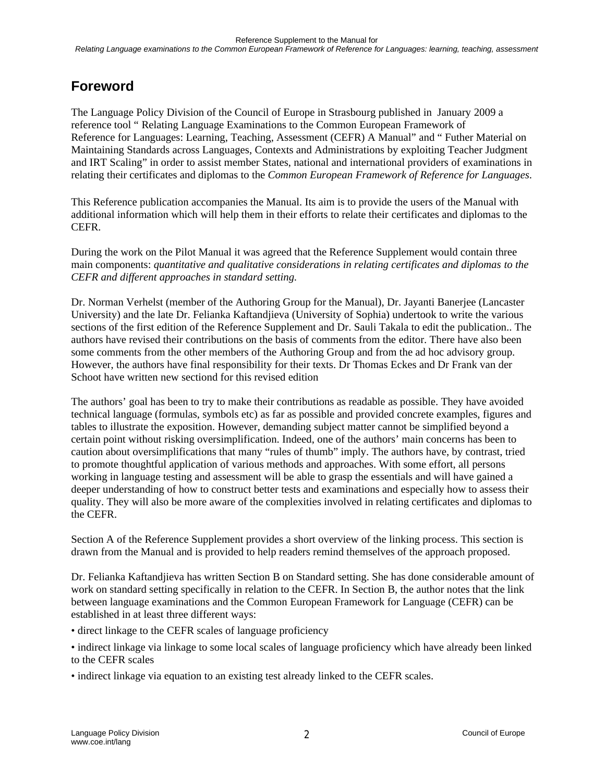# **Foreword**

The Language Policy Division of the Council of Europe in Strasbourg published in January 2009 a reference tool " Relating Language Examinations to the Common European Framework of Reference for Languages: Learning, Teaching, Assessment (CEFR) A Manual" and " Futher Material on Maintaining Standards across Languages, Contexts and Administrations by exploiting Teacher Judgment and IRT Scaling" in order to assist member States, national and international providers of examinations in relating their certificates and diplomas to the *Common European Framework of Reference for Languages*.

This Reference publication accompanies the Manual. Its aim is to provide the users of the Manual with additional information which will help them in their efforts to relate their certificates and diplomas to the CEFR.

During the work on the Pilot Manual it was agreed that the Reference Supplement would contain three main components: *quantitative and qualitative considerations in relating certificates and diplomas to the CEFR and different approaches in standard setting.*

Dr. Norman Verhelst (member of the Authoring Group for the Manual), Dr. Jayanti Banerjee (Lancaster University) and the late Dr. Felianka Kaftandjieva (University of Sophia) undertook to write the various sections of the first edition of the Reference Supplement and Dr. Sauli Takala to edit the publication.. The authors have revised their contributions on the basis of comments from the editor. There have also been some comments from the other members of the Authoring Group and from the ad hoc advisory group. However, the authors have final responsibility for their texts. Dr Thomas Eckes and Dr Frank van der Schoot have written new sectiond for this revised edition

The authors' goal has been to try to make their contributions as readable as possible. They have avoided technical language (formulas, symbols etc) as far as possible and provided concrete examples, figures and tables to illustrate the exposition. However, demanding subject matter cannot be simplified beyond a certain point without risking oversimplification. Indeed, one of the authors' main concerns has been to caution about oversimplifications that many "rules of thumb" imply. The authors have, by contrast, tried to promote thoughtful application of various methods and approaches. With some effort, all persons working in language testing and assessment will be able to grasp the essentials and will have gained a deeper understanding of how to construct better tests and examinations and especially how to assess their quality. They will also be more aware of the complexities involved in relating certificates and diplomas to the CEFR.

Section A of the Reference Supplement provides a short overview of the linking process. This section is drawn from the Manual and is provided to help readers remind themselves of the approach proposed.

Dr. Felianka Kaftandjieva has written Section B on Standard setting. She has done considerable amount of work on standard setting specifically in relation to the CEFR. In Section B, the author notes that the link between language examinations and the Common European Framework for Language (CEFR) can be established in at least three different ways:

- direct linkage to the CEFR scales of language proficiency
- indirect linkage via linkage to some local scales of language proficiency which have already been linked to the CEFR scales
- indirect linkage via equation to an existing test already linked to the CEFR scales.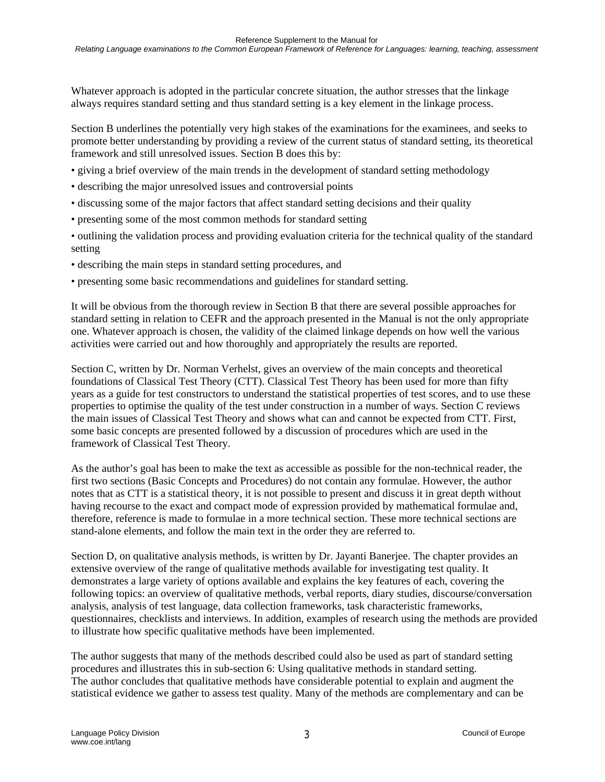Whatever approach is adopted in the particular concrete situation, the author stresses that the linkage always requires standard setting and thus standard setting is a key element in the linkage process.

Section B underlines the potentially very high stakes of the examinations for the examinees, and seeks to promote better understanding by providing a review of the current status of standard setting, its theoretical framework and still unresolved issues. Section B does this by:

- giving a brief overview of the main trends in the development of standard setting methodology
- describing the major unresolved issues and controversial points
- discussing some of the major factors that affect standard setting decisions and their quality
- presenting some of the most common methods for standard setting
- outlining the validation process and providing evaluation criteria for the technical quality of the standard setting
- describing the main steps in standard setting procedures, and
- presenting some basic recommendations and guidelines for standard setting.

It will be obvious from the thorough review in Section B that there are several possible approaches for standard setting in relation to CEFR and the approach presented in the Manual is not the only appropriate one. Whatever approach is chosen, the validity of the claimed linkage depends on how well the various activities were carried out and how thoroughly and appropriately the results are reported.

Section C, written by Dr. Norman Verhelst, gives an overview of the main concepts and theoretical foundations of Classical Test Theory (CTT). Classical Test Theory has been used for more than fifty years as a guide for test constructors to understand the statistical properties of test scores, and to use these properties to optimise the quality of the test under construction in a number of ways. Section C reviews the main issues of Classical Test Theory and shows what can and cannot be expected from CTT. First, some basic concepts are presented followed by a discussion of procedures which are used in the framework of Classical Test Theory.

As the author's goal has been to make the text as accessible as possible for the non-technical reader, the first two sections (Basic Concepts and Procedures) do not contain any formulae. However, the author notes that as CTT is a statistical theory, it is not possible to present and discuss it in great depth without having recourse to the exact and compact mode of expression provided by mathematical formulae and, therefore, reference is made to formulae in a more technical section. These more technical sections are stand-alone elements, and follow the main text in the order they are referred to.

Section D, on qualitative analysis methods, is written by Dr. Jayanti Banerjee. The chapter provides an extensive overview of the range of qualitative methods available for investigating test quality. It demonstrates a large variety of options available and explains the key features of each, covering the following topics: an overview of qualitative methods, verbal reports, diary studies, discourse/conversation analysis, analysis of test language, data collection frameworks, task characteristic frameworks, questionnaires, checklists and interviews. In addition, examples of research using the methods are provided to illustrate how specific qualitative methods have been implemented.

The author suggests that many of the methods described could also be used as part of standard setting procedures and illustrates this in sub-section 6: Using qualitative methods in standard setting. The author concludes that qualitative methods have considerable potential to explain and augment the statistical evidence we gather to assess test quality. Many of the methods are complementary and can be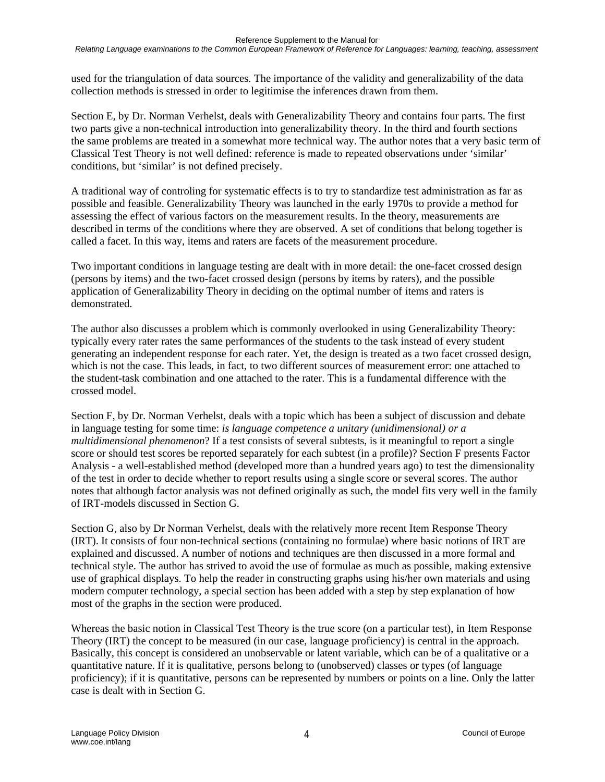used for the triangulation of data sources. The importance of the validity and generalizability of the data collection methods is stressed in order to legitimise the inferences drawn from them.

Section E, by Dr. Norman Verhelst, deals with Generalizability Theory and contains four parts. The first two parts give a non-technical introduction into generalizability theory. In the third and fourth sections the same problems are treated in a somewhat more technical way. The author notes that a very basic term of Classical Test Theory is not well defined: reference is made to repeated observations under 'similar' conditions, but 'similar' is not defined precisely.

A traditional way of controling for systematic effects is to try to standardize test administration as far as possible and feasible. Generalizability Theory was launched in the early 1970s to provide a method for assessing the effect of various factors on the measurement results. In the theory, measurements are described in terms of the conditions where they are observed. A set of conditions that belong together is called a facet. In this way, items and raters are facets of the measurement procedure.

Two important conditions in language testing are dealt with in more detail: the one-facet crossed design (persons by items) and the two-facet crossed design (persons by items by raters), and the possible application of Generalizability Theory in deciding on the optimal number of items and raters is demonstrated.

The author also discusses a problem which is commonly overlooked in using Generalizability Theory: typically every rater rates the same performances of the students to the task instead of every student generating an independent response for each rater. Yet, the design is treated as a two facet crossed design, which is not the case. This leads, in fact, to two different sources of measurement error: one attached to the student-task combination and one attached to the rater. This is a fundamental difference with the crossed model.

Section F, by Dr. Norman Verhelst, deals with a topic which has been a subject of discussion and debate in language testing for some time: *is language competence a unitary (unidimensional) or a multidimensional phenomenon*? If a test consists of several subtests, is it meaningful to report a single score or should test scores be reported separately for each subtest (in a profile)? Section F presents Factor Analysis - a well-established method (developed more than a hundred years ago) to test the dimensionality of the test in order to decide whether to report results using a single score or several scores. The author notes that although factor analysis was not defined originally as such, the model fits very well in the family of IRT-models discussed in Section G.

Section G, also by Dr Norman Verhelst, deals with the relatively more recent Item Response Theory (IRT). It consists of four non-technical sections (containing no formulae) where basic notions of IRT are explained and discussed. A number of notions and techniques are then discussed in a more formal and technical style. The author has strived to avoid the use of formulae as much as possible, making extensive use of graphical displays. To help the reader in constructing graphs using his/her own materials and using modern computer technology, a special section has been added with a step by step explanation of how most of the graphs in the section were produced.

Whereas the basic notion in Classical Test Theory is the true score (on a particular test), in Item Response Theory (IRT) the concept to be measured (in our case, language proficiency) is central in the approach. Basically, this concept is considered an unobservable or latent variable, which can be of a qualitative or a quantitative nature. If it is qualitative, persons belong to (unobserved) classes or types (of language proficiency); if it is quantitative, persons can be represented by numbers or points on a line. Only the latter case is dealt with in Section G.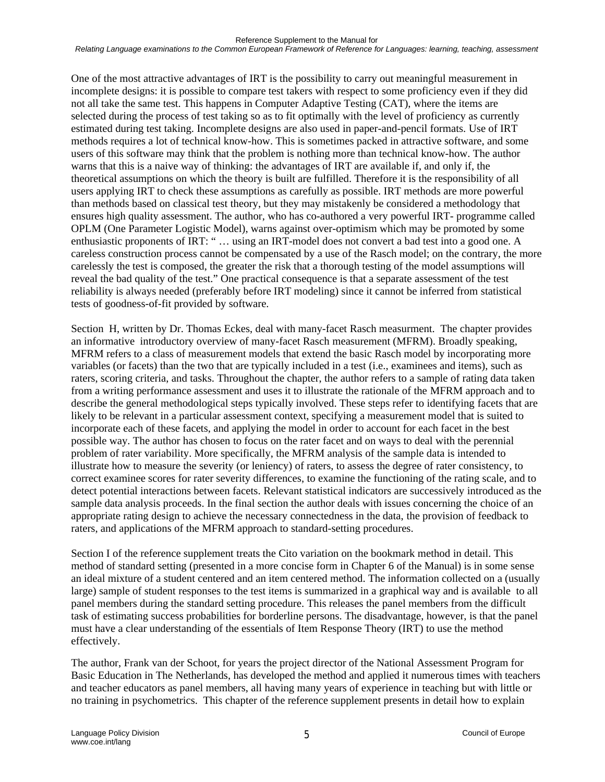One of the most attractive advantages of IRT is the possibility to carry out meaningful measurement in incomplete designs: it is possible to compare test takers with respect to some proficiency even if they did not all take the same test. This happens in Computer Adaptive Testing (CAT), where the items are selected during the process of test taking so as to fit optimally with the level of proficiency as currently estimated during test taking. Incomplete designs are also used in paper-and-pencil formats. Use of IRT methods requires a lot of technical know-how. This is sometimes packed in attractive software, and some users of this software may think that the problem is nothing more than technical know-how. The author warns that this is a naive way of thinking: the advantages of IRT are available if, and only if, the theoretical assumptions on which the theory is built are fulfilled. Therefore it is the responsibility of all users applying IRT to check these assumptions as carefully as possible. IRT methods are more powerful than methods based on classical test theory, but they may mistakenly be considered a methodology that ensures high quality assessment. The author, who has co-authored a very powerful IRT- programme called OPLM (One Parameter Logistic Model), warns against over-optimism which may be promoted by some enthusiastic proponents of IRT: " … using an IRT-model does not convert a bad test into a good one. A careless construction process cannot be compensated by a use of the Rasch model; on the contrary, the more carelessly the test is composed, the greater the risk that a thorough testing of the model assumptions will reveal the bad quality of the test." One practical consequence is that a separate assessment of the test reliability is always needed (preferably before IRT modeling) since it cannot be inferred from statistical tests of goodness-of-fit provided by software.

Section H, written by Dr. Thomas Eckes, deal with many-facet Rasch measurment. The chapter provides an informative introductory overview of many-facet Rasch measurement (MFRM). Broadly speaking, MFRM refers to a class of measurement models that extend the basic Rasch model by incorporating more variables (or facets) than the two that are typically included in a test (i.e., examinees and items), such as raters, scoring criteria, and tasks. Throughout the chapter, the author refers to a sample of rating data taken from a writing performance assessment and uses it to illustrate the rationale of the MFRM approach and to describe the general methodological steps typically involved. These steps refer to identifying facets that are likely to be relevant in a particular assessment context, specifying a measurement model that is suited to incorporate each of these facets, and applying the model in order to account for each facet in the best possible way. The author has chosen to focus on the rater facet and on ways to deal with the perennial problem of rater variability. More specifically, the MFRM analysis of the sample data is intended to illustrate how to measure the severity (or leniency) of raters, to assess the degree of rater consistency, to correct examinee scores for rater severity differences, to examine the functioning of the rating scale, and to detect potential interactions between facets. Relevant statistical indicators are successively introduced as the sample data analysis proceeds. In the final section the author deals with issues concerning the choice of an appropriate rating design to achieve the necessary connectedness in the data, the provision of feedback to raters, and applications of the MFRM approach to standard-setting procedures.

Section I of the reference supplement treats the Cito variation on the bookmark method in detail. This method of standard setting (presented in a more concise form in Chapter 6 of the Manual) is in some sense an ideal mixture of a student centered and an item centered method. The information collected on a (usually large) sample of student responses to the test items is summarized in a graphical way and is available to all panel members during the standard setting procedure. This releases the panel members from the difficult task of estimating success probabilities for borderline persons. The disadvantage, however, is that the panel must have a clear understanding of the essentials of Item Response Theory (IRT) to use the method effectively.

The author, Frank van der Schoot, for years the project director of the National Assessment Program for Basic Education in The Netherlands, has developed the method and applied it numerous times with teachers and teacher educators as panel members, all having many years of experience in teaching but with little or no training in psychometrics. This chapter of the reference supplement presents in detail how to explain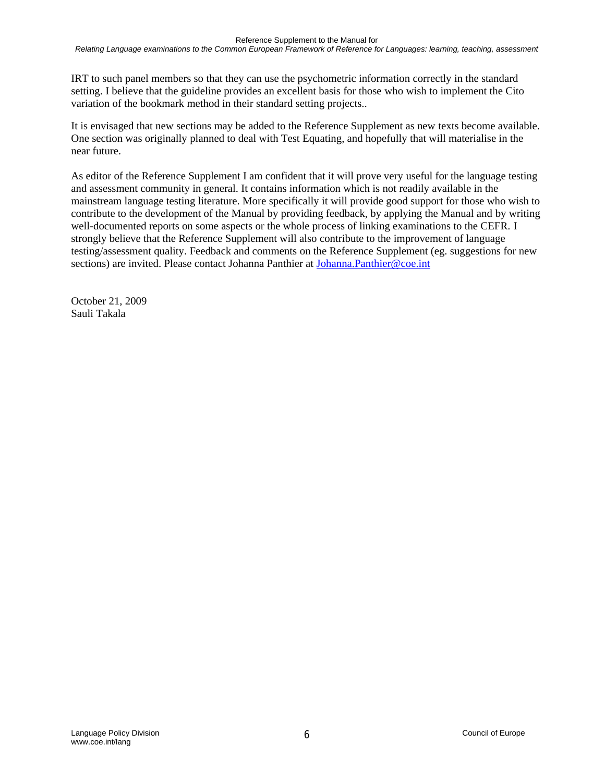IRT to such panel members so that they can use the psychometric information correctly in the standard setting. I believe that the guideline provides an excellent basis for those who wish to implement the Cito variation of the bookmark method in their standard setting projects..

It is envisaged that new sections may be added to the Reference Supplement as new texts become available. One section was originally planned to deal with Test Equating, and hopefully that will materialise in the near future.

As editor of the Reference Supplement I am confident that it will prove very useful for the language testing and assessment community in general. It contains information which is not readily available in the mainstream language testing literature. More specifically it will provide good support for those who wish to contribute to the development of the Manual by providing feedback, by applying the Manual and by writing well-documented reports on some aspects or the whole process of linking examinations to the CEFR. I strongly believe that the Reference Supplement will also contribute to the improvement of language testing/assessment quality. Feedback and comments on the Reference Supplement (eg. suggestions for new sections) are invited. Please contact Johanna Panthier at [Johanna.Panthier@coe.int](mailto:Johanna.Panthier@coe.int)

October 21, 2009 Sauli Takala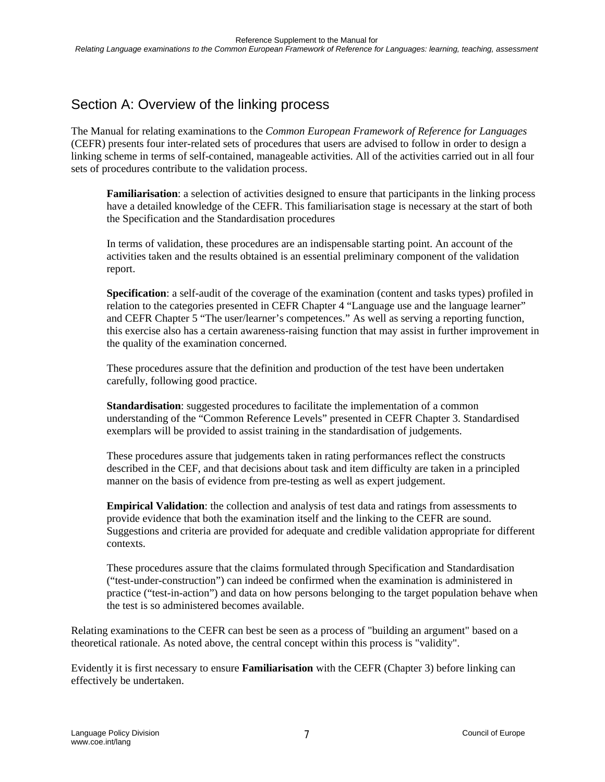## Section A: Overview of the linking process

The Manual for relating examinations to the *Common European Framework of Reference for Languages* (CEFR) presents four inter-related sets of procedures that users are advised to follow in order to design a linking scheme in terms of self-contained, manageable activities. All of the activities carried out in all four sets of procedures contribute to the validation process.

**Familiarisation**: a selection of activities designed to ensure that participants in the linking process have a detailed knowledge of the CEFR. This familiarisation stage is necessary at the start of both the Specification and the Standardisation procedures

In terms of validation, these procedures are an indispensable starting point. An account of the activities taken and the results obtained is an essential preliminary component of the validation report.

**Specification**: a self-audit of the coverage of the examination (content and tasks types) profiled in relation to the categories presented in CEFR Chapter 4 "Language use and the language learner" and CEFR Chapter 5 "The user/learner's competences." As well as serving a reporting function, this exercise also has a certain awareness-raising function that may assist in further improvement in the quality of the examination concerned.

These procedures assure that the definition and production of the test have been undertaken carefully, following good practice.

**Standardisation**: suggested procedures to facilitate the implementation of a common understanding of the "Common Reference Levels" presented in CEFR Chapter 3. Standardised exemplars will be provided to assist training in the standardisation of judgements.

These procedures assure that judgements taken in rating performances reflect the constructs described in the CEF, and that decisions about task and item difficulty are taken in a principled manner on the basis of evidence from pre-testing as well as expert judgement.

**Empirical Validation**: the collection and analysis of test data and ratings from assessments to provide evidence that both the examination itself and the linking to the CEFR are sound. Suggestions and criteria are provided for adequate and credible validation appropriate for different contexts.

These procedures assure that the claims formulated through Specification and Standardisation ("test-under-construction") can indeed be confirmed when the examination is administered in practice ("test-in-action") and data on how persons belonging to the target population behave when the test is so administered becomes available.

Relating examinations to the CEFR can best be seen as a process of "building an argument" based on a theoretical rationale. As noted above, the central concept within this process is "validity".

Evidently it is first necessary to ensure **Familiarisation** with the CEFR (Chapter 3) before linking can effectively be undertaken.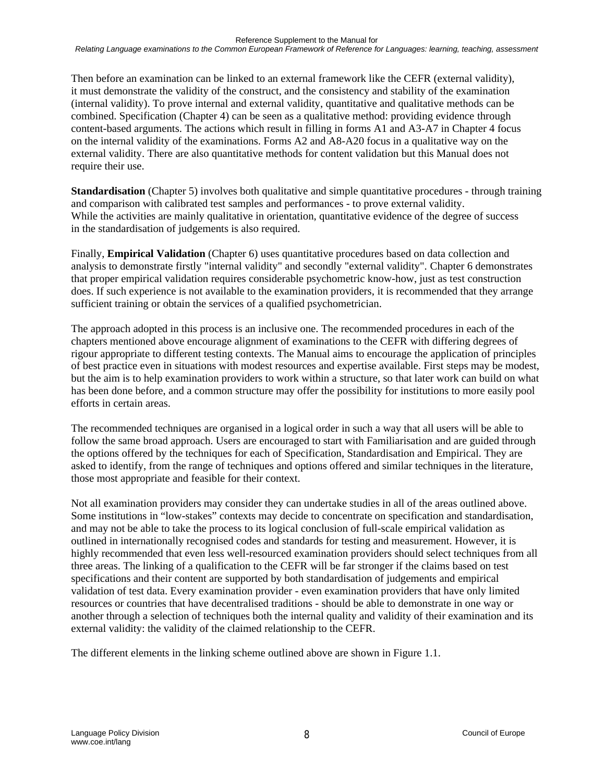Then before an examination can be linked to an external framework like the CEFR (external validity), it must demonstrate the validity of the construct, and the consistency and stability of the examination (internal validity). To prove internal and external validity, quantitative and qualitative methods can be combined. Specification (Chapter 4) can be seen as a qualitative method: providing evidence through content-based arguments. The actions which result in filling in forms A1 and A3-A7 in Chapter 4 focus on the internal validity of the examinations. Forms A2 and A8-A20 focus in a qualitative way on the external validity. There are also quantitative methods for content validation but this Manual does not require their use.

**Standardisation** (Chapter 5) involves both qualitative and simple quantitative procedures - through training and comparison with calibrated test samples and performances - to prove external validity. While the activities are mainly qualitative in orientation, quantitative evidence of the degree of success in the standardisation of judgements is also required.

Finally, **Empirical Validation** (Chapter 6) uses quantitative procedures based on data collection and analysis to demonstrate firstly "internal validity" and secondly "external validity". Chapter 6 demonstrates that proper empirical validation requires considerable psychometric know-how, just as test construction does. If such experience is not available to the examination providers, it is recommended that they arrange sufficient training or obtain the services of a qualified psychometrician.

The approach adopted in this process is an inclusive one. The recommended procedures in each of the chapters mentioned above encourage alignment of examinations to the CEFR with differing degrees of rigour appropriate to different testing contexts. The Manual aims to encourage the application of principles of best practice even in situations with modest resources and expertise available. First steps may be modest, but the aim is to help examination providers to work within a structure, so that later work can build on what has been done before, and a common structure may offer the possibility for institutions to more easily pool efforts in certain areas.

The recommended techniques are organised in a logical order in such a way that all users will be able to follow the same broad approach. Users are encouraged to start with Familiarisation and are guided through the options offered by the techniques for each of Specification, Standardisation and Empirical. They are asked to identify, from the range of techniques and options offered and similar techniques in the literature, those most appropriate and feasible for their context.

Not all examination providers may consider they can undertake studies in all of the areas outlined above. Some institutions in "low-stakes" contexts may decide to concentrate on specification and standardisation, and may not be able to take the process to its logical conclusion of full-scale empirical validation as outlined in internationally recognised codes and standards for testing and measurement. However, it is highly recommended that even less well-resourced examination providers should select techniques from all three areas. The linking of a qualification to the CEFR will be far stronger if the claims based on test specifications and their content are supported by both standardisation of judgements and empirical validation of test data. Every examination provider - even examination providers that have only limited resources or countries that have decentralised traditions - should be able to demonstrate in one way or another through a selection of techniques both the internal quality and validity of their examination and its external validity: the validity of the claimed relationship to the CEFR.

The different elements in the linking scheme outlined above are shown in Figure 1.1.